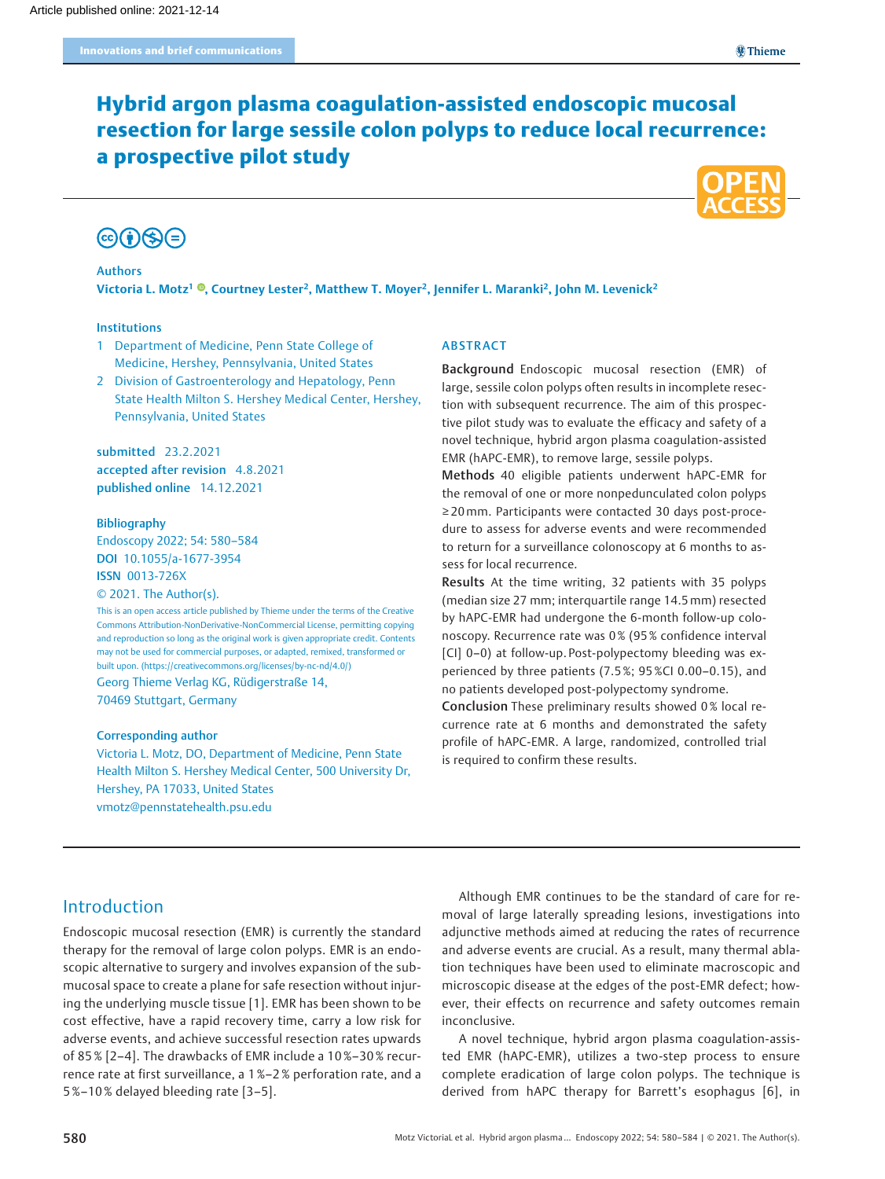# Hybrid argon plasma coagulation-assisted endoscopic mucosal resection for large sessile colon polyps to reduce local recurrence: a prospective pilot study



# $\mathbb{G}(\hat{\mathbf{I}})\mathbb{S}(\widehat{\mathbf{I}})$

#### Authors

Victoria L. Motz<sup>1</sup> ®[,](https://orcid.org/0000-0001-8290-4369) Courtney Lester<sup>2</sup>, Matthew T. Moyer<sup>2</sup>, Jennifer L. Maranki<sup>2</sup>, John M. Levenick<sup>2</sup>

#### Institutions

- 1 Department of Medicine, Penn State College of Medicine, Hershey, Pennsylvania, United States
- 2 Division of Gastroenterology and Hepatology, Penn State Health Milton S. Hershey Medical Center, Hershey, Pennsylvania, United States

submitted 23.2.2021 accepted after revision 4.8.2021 published online 14.12.2021

#### Bibliography

Endoscopy 2022; 54: 580–584 DOI 10.1055/a-1677-3954 ISSN 0013-726X

© 2021. The Author(s).

This is an open access article published by Thieme under the terms of the Creative Commons Attribution-NonDerivative-NonCommercial License, permitting copying and reproduction so long as the original work is given appropriate credit. Contents may not be used for commercial purposes, or adapted, remixed, transformed or built upon. (https://creativecommons.org/licenses/by-nc-nd/4.0/) Georg Thieme Verlag KG, Rüdigerstraße 14, 70469 Stuttgart, Germany

#### Corresponding author

Victoria L. Motz, DO, Department of Medicine, Penn State Health Milton S. Hershey Medical Center, 500 University Dr, Hershey, PA 17033, United States vmotz@pennstatehealth.psu.edu

#### ABSTRACT

Background Endoscopic mucosal resection (EMR) of large, sessile colon polyps often results in incomplete resection with subsequent recurrence. The aim of this prospective pilot study was to evaluate the efficacy and safety of a novel technique, hybrid argon plasma coagulation-assisted EMR (hAPC-EMR), to remove large, sessile polyps.

Methods 40 eligible patients underwent hAPC-EMR for the removal of one or more nonpedunculated colon polyps ≥ 20mm. Participants were contacted 30 days post-procedure to assess for adverse events and were recommended to return for a surveillance colonoscopy at 6 months to assess for local recurrence.

Results At the time writing, 32 patients with 35 polyps (median size 27 mm; interquartile range 14.5mm) resected by hAPC-EMR had undergone the 6-month follow-up colonoscopy. Recurrence rate was 0 % (95 % confidence interval [CI] 0–0) at follow-up. Post-polypectomy bleeding was experienced by three patients (7.5 %; 95 %CI 0.00–0.15), and no patients developed post-polypectomy syndrome.

Conclusion These preliminary results showed 0 % local recurrence rate at 6 months and demonstrated the safety profile of hAPC-EMR. A large, randomized, controlled trial is required to confirm these results.

# Introduction

Endoscopic mucosal resection (EMR) is currently the standard therapy for the removal of large colon polyps. EMR is an endoscopic alternative to surgery and involves expansion of the submucosal space to create a plane for safe resection without injuring the underlying muscle tissue [1]. EMR has been shown to be cost effective, have a rapid recovery time, carry a low risk for adverse events, and achieve successful resection rates upwards of 85 % [2–4]. The drawbacks of EMR include a 10%–30% recurrence rate at first surveillance, a 1 %–2 % perforation rate, and a 5 %–10 % delayed bleeding rate [3–5].

Although EMR continues to be the standard of care for removal of large laterally spreading lesions, investigations into adjunctive methods aimed at reducing the rates of recurrence and adverse events are crucial. As a result, many thermal ablation techniques have been used to eliminate macroscopic and microscopic disease at the edges of the post-EMR defect; however, their effects on recurrence and safety outcomes remain inconclusive.

A novel technique, hybrid argon plasma coagulation-assisted EMR (hAPC-EMR), utilizes a two-step process to ensure complete eradication of large colon polyps. The technique is derived from hAPC therapy for Barrett's esophagus [6], in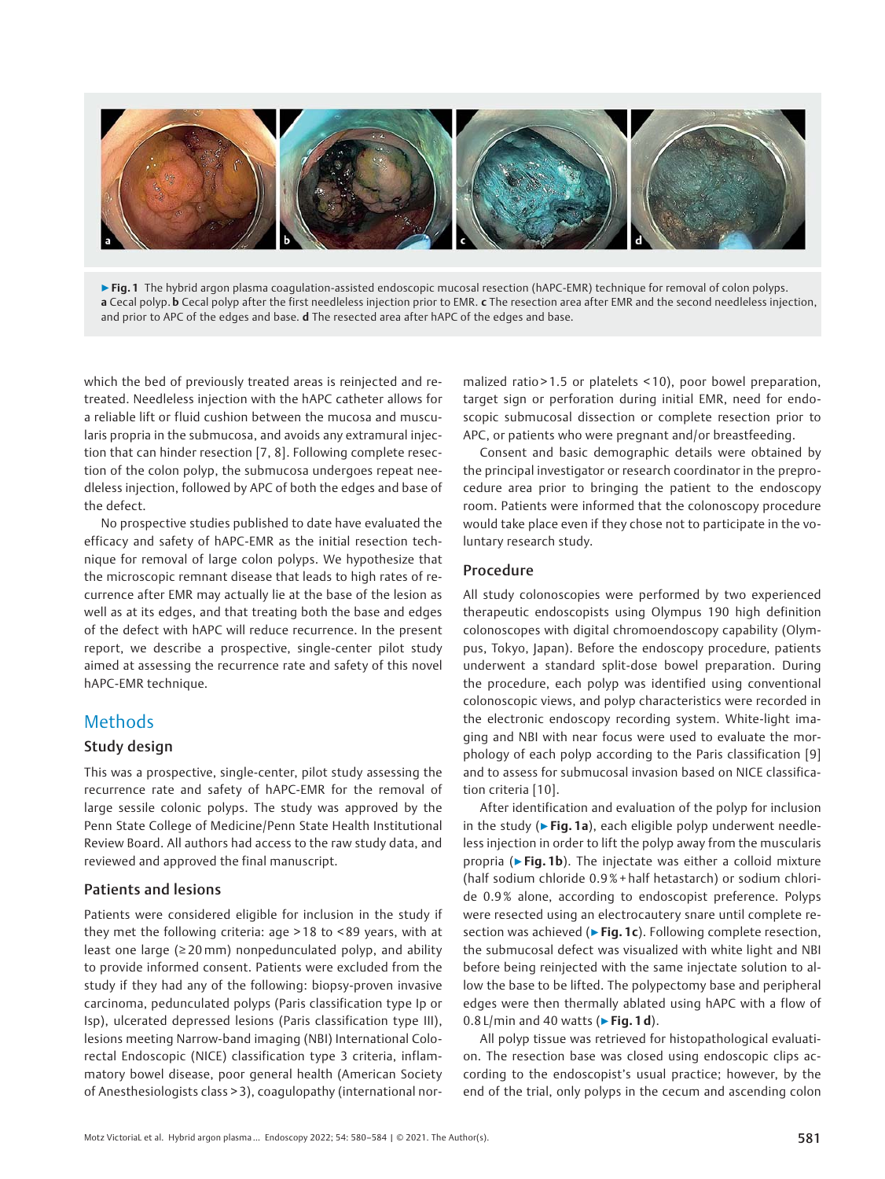

▶ Fig. 1 The hybrid argon plasma coagulation-assisted endoscopic mucosal resection (hAPC-EMR) technique for removal of colon polyps. a Cecal polyp. b Cecal polyp after the first needleless injection prior to EMR. c The resection area after EMR and the second needleless injection, and prior to APC of the edges and base. d The resected area after hAPC of the edges and base.

which the bed of previously treated areas is reinjected and retreated. Needleless injection with the hAPC catheter allows for a reliable lift or fluid cushion between the mucosa and muscularis propria in the submucosa, and avoids any extramural injection that can hinder resection [7, 8]. Following complete resection of the colon polyp, the submucosa undergoes repeat needleless injection, followed by APC of both the edges and base of the defect.

No prospective studies published to date have evaluated the efficacy and safety of hAPC-EMR as the initial resection technique for removal of large colon polyps. We hypothesize that the microscopic remnant disease that leads to high rates of recurrence after EMR may actually lie at the base of the lesion as well as at its edges, and that treating both the base and edges of the defect with hAPC will reduce recurrence. In the present report, we describe a prospective, single-center pilot study aimed at assessing the recurrence rate and safety of this novel hAPC-EMR technique.

# Methods

## Study design

This was a prospective, single-center, pilot study assessing the recurrence rate and safety of hAPC-EMR for the removal of large sessile colonic polyps. The study was approved by the Penn State College of Medicine/Penn State Health Institutional Review Board. All authors had access to the raw study data, and reviewed and approved the final manuscript.

## Patients and lesions

Patients were considered eligible for inclusion in the study if they met the following criteria: age > 18 to < 89 years, with at least one large (≥ 20mm) nonpedunculated polyp, and ability to provide informed consent. Patients were excluded from the study if they had any of the following: biopsy-proven invasive carcinoma, pedunculated polyps (Paris classification type Ip or Isp), ulcerated depressed lesions (Paris classification type III), lesions meeting Narrow-band imaging (NBI) International Colorectal Endoscopic (NICE) classification type 3 criteria, inflammatory bowel disease, poor general health (American Society of Anesthesiologists class > 3), coagulopathy (international normalized ratio > 1.5 or platelets < 10), poor bowel preparation, target sign or perforation during initial EMR, need for endoscopic submucosal dissection or complete resection prior to APC, or patients who were pregnant and/or breastfeeding.

Consent and basic demographic details were obtained by the principal investigator or research coordinator in the preprocedure area prior to bringing the patient to the endoscopy room. Patients were informed that the colonoscopy procedure would take place even if they chose not to participate in the voluntary research study.

### Procedure

All study colonoscopies were performed by two experienced therapeutic endoscopists using Olympus 190 high definition colonoscopes with digital chromoendoscopy capability (Olympus, Tokyo, Japan). Before the endoscopy procedure, patients underwent a standard split-dose bowel preparation. During the procedure, each polyp was identified using conventional colonoscopic views, and polyp characteristics were recorded in the electronic endoscopy recording system. White-light imaging and NBI with near focus were used to evaluate the morphology of each polyp according to the Paris classification [9] and to assess for submucosal invasion based on NICE classification criteria [10].

After identification and evaluation of the polyp for inclusion in the study ( $\triangleright$  Fig. 1a), each eligible polyp underwent needleless injection in order to lift the polyp away from the muscularis propria (► Fig. 1b). The injectate was either a colloid mixture (half sodium chloride 0.9 % + half hetastarch) or sodium chloride 0.9 % alone, according to endoscopist preference. Polyps were resected using an electrocautery snare until complete resection was achieved (▶Fig. 1c). Following complete resection, the submucosal defect was visualized with white light and NBI before being reinjected with the same injectate solution to allow the base to be lifted. The polypectomy base and peripheral edges were then thermally ablated using hAPC with a flow of  $0.8$  L/min and 40 watts ( $\triangleright$  Fig. 1 d).

All polyp tissue was retrieved for histopathological evaluation. The resection base was closed using endoscopic clips according to the endoscopist's usual practice; however, by the end of the trial, only polyps in the cecum and ascending colon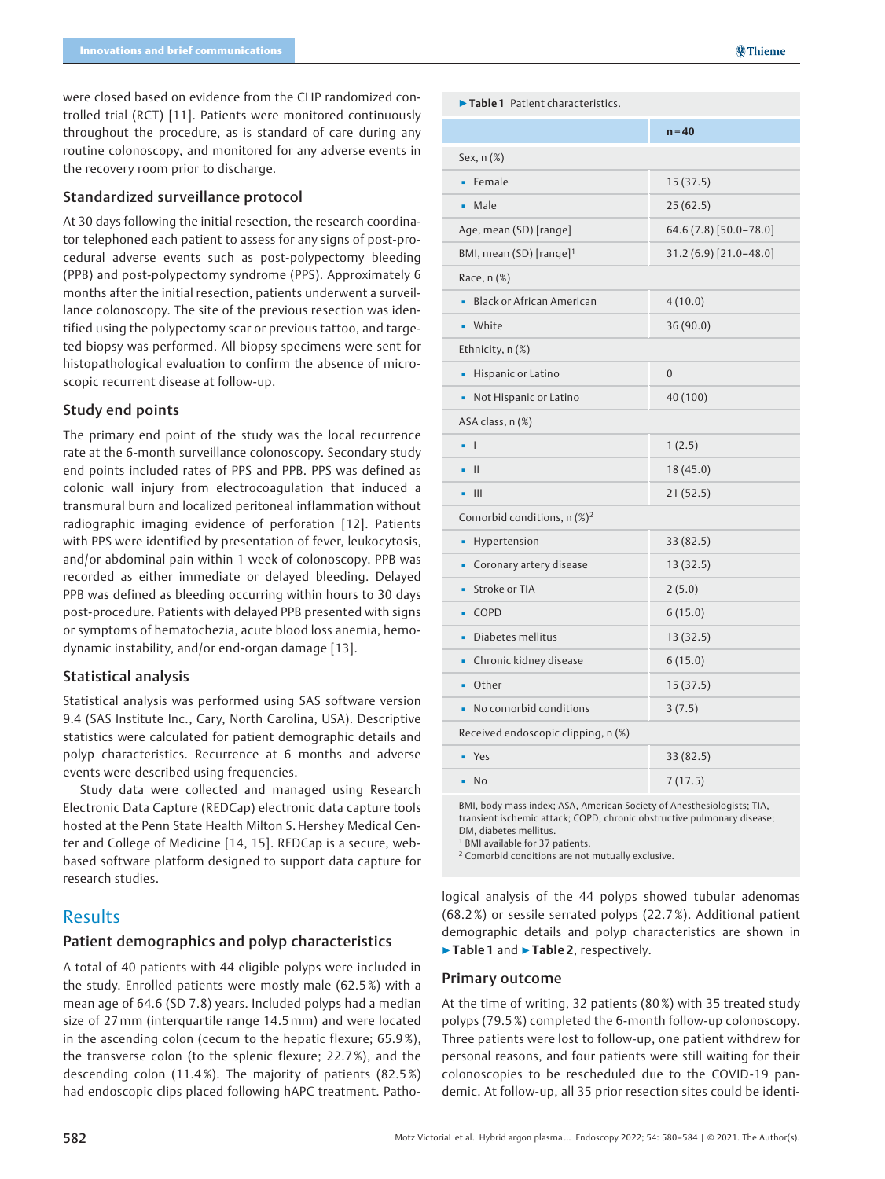were closed based on evidence from the CLIP randomized controlled trial (RCT) [11]. Patients were monitored continuously throughout the procedure, as is standard of care during any routine colonoscopy, and monitored for any adverse events in the recovery room prior to discharge.

#### Standardized surveillance protocol

At 30 days following the initial resection, the research coordinator telephoned each patient to assess for any signs of post-procedural adverse events such as post-polypectomy bleeding (PPB) and post-polypectomy syndrome (PPS). Approximately 6 months after the initial resection, patients underwent a surveillance colonoscopy. The site of the previous resection was identified using the polypectomy scar or previous tattoo, and targeted biopsy was performed. All biopsy specimens were sent for histopathological evaluation to confirm the absence of microscopic recurrent disease at follow-up.

### Study end points

The primary end point of the study was the local recurrence rate at the 6-month surveillance colonoscopy. Secondary study end points included rates of PPS and PPB. PPS was defined as colonic wall injury from electrocoagulation that induced a transmural burn and localized peritoneal inflammation without radiographic imaging evidence of perforation [12]. Patients with PPS were identified by presentation of fever, leukocytosis, and/or abdominal pain within 1 week of colonoscopy. PPB was recorded as either immediate or delayed bleeding. Delayed PPB was defined as bleeding occurring within hours to 30 days post-procedure. Patients with delayed PPB presented with signs or symptoms of hematochezia, acute blood loss anemia, hemodynamic instability, and/or end-organ damage [13].

### Statistical analysis

Statistical analysis was performed using SAS software version 9.4 (SAS Institute Inc., Cary, North Carolina, USA). Descriptive statistics were calculated for patient demographic details and polyp characteristics. Recurrence at 6 months and adverse events were described using frequencies.

Study data were collected and managed using Research Electronic Data Capture (REDCap) electronic data capture tools hosted at the Penn State Health Milton S. Hershey Medical Center and College of Medicine [14, 15]. REDCap is a secure, webbased software platform designed to support data capture for research studies.

## Results

## Patient demographics and polyp characteristics

A total of 40 patients with 44 eligible polyps were included in the study. Enrolled patients were mostly male (62.5 %) with a mean age of 64.6 (SD 7.8) years. Included polyps had a median size of 27mm (interquartile range 14.5 mm) and were located in the ascending colon (cecum to the hepatic flexure; 65.9 %), the transverse colon (to the splenic flexure; 22.7 %), and the descending colon (11.4 %). The majority of patients (82.5 %) had endoscopic clips placed following hAPC treatment. Patho-

| $\blacktriangleright$ Table 1 Patient characteristics. |
|--------------------------------------------------------|
|                                                        |

|                                           | $n = 40$                |  |
|-------------------------------------------|-------------------------|--|
| Sex, n (%)                                |                         |  |
| Female<br>٠                               | 15(37.5)                |  |
| Male                                      | 25(62.5)                |  |
| Age, mean (SD) [range]                    | 64.6 (7.8) [50.0-78.0]  |  |
| BMI, mean (SD) [range] <sup>1</sup>       | $31.2(6.9)$ [21.0–48.0] |  |
| Race, n (%)                               |                         |  |
| <b>Black or African American</b>          | 4(10.0)                 |  |
| White                                     | 36(90.0)                |  |
| Ethnicity, n (%)                          |                         |  |
| Hispanic or Latino<br>٠                   | $\overline{0}$          |  |
| Not Hispanic or Latino                    | 40 (100)                |  |
| ASA class, n (%)                          |                         |  |
| - 1                                       | 1(2.5)                  |  |
| $\mathbf{H}$                              | 18(45.0)                |  |
| III                                       | 21(52.5)                |  |
| Comorbid conditions, $n$ (%) <sup>2</sup> |                         |  |
| Hypertension<br>٠                         | 33 (82.5)               |  |
| Coronary artery disease                   | 13(32.5)                |  |
| Stroke or TIA<br>۰                        | 2(5.0)                  |  |
| COPD                                      | 6(15.0)                 |  |
| Diabetes mellitus<br>٠                    | 13(32.5)                |  |
| Chronic kidney disease<br>٠               | 6(15.0)                 |  |
| Other                                     | 15(37.5)                |  |
| No comorbid conditions                    | 3(7.5)                  |  |
| Received endoscopic clipping, n (%)       |                         |  |
| Yes                                       | 33 (82.5)               |  |
| <b>No</b>                                 | 7(17.5)                 |  |

BMI, body mass index; ASA, American Society of Anesthesiologists; TIA, transient ischemic attack; COPD, chronic obstructive pulmonary disease; DM, diabetes mellitus.

<sup>1</sup> BMI available for 37 patients.

<sup>2</sup> Comorbid conditions are not mutually exclusive.

logical analysis of the 44 polyps showed tubular adenomas (68.2 %) or sessile serrated polyps (22.7 %). Additional patient demographic details and polyp characteristics are shown in ▶ Table 1 and ▶ Table 2, respectively.

#### Primary outcome

At the time of writing, 32 patients (80 %) with 35 treated study polyps (79.5 %) completed the 6-month follow-up colonoscopy. Three patients were lost to follow-up, one patient withdrew for personal reasons, and four patients were still waiting for their colonoscopies to be rescheduled due to the COVID-19 pandemic. At follow-up, all 35 prior resection sites could be identi-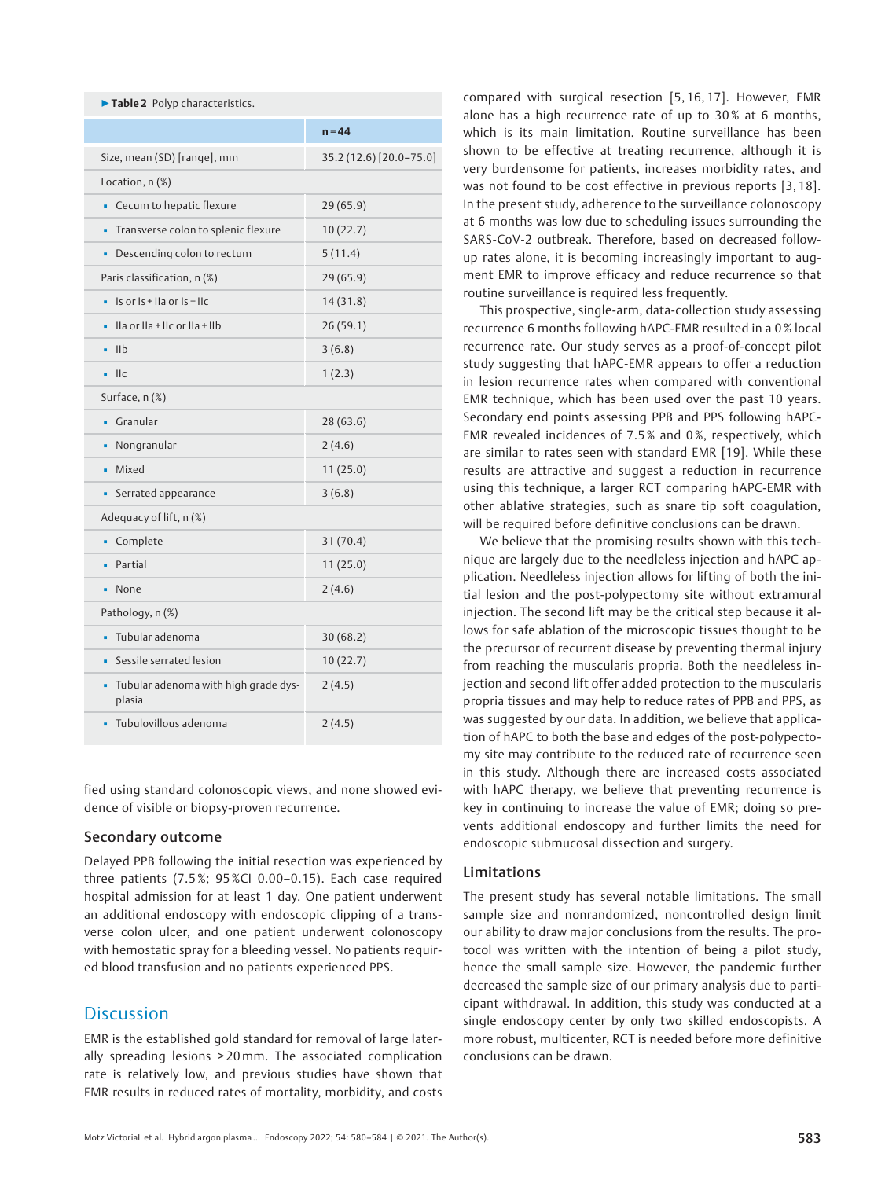| Table 2 Polyp characteristics.                                                                                                     |                         |
|------------------------------------------------------------------------------------------------------------------------------------|-------------------------|
|                                                                                                                                    | $n = 44$                |
| Size, mean (SD) [range], mm                                                                                                        | 35.2 (12.6) [20.0-75.0] |
| Location, $n$ $(\%)$                                                                                                               |                         |
| Cecum to hepatic flexure                                                                                                           | 29(65.9)                |
| Transverse colon to splenic flexure<br>٠                                                                                           | 10(22.7)                |
| Descending colon to rectum<br>×,                                                                                                   | 5(11.4)                 |
| Paris classification, n (%)                                                                                                        | 29(65.9)                |
| Is or Is + IIa or Is + IIc                                                                                                         | 14(31.8)                |
| $\frac{1}{2}$ lla or $\frac{1}{2}$ + $\frac{1}{2}$ + $\frac{1}{2}$ + $\frac{1}{2}$ + $\frac{1}{2}$ + $\frac{1}{2}$ + $\frac{1}{2}$ | 26 (59.1)               |
| I <sub>1</sub><br>٠                                                                                                                | 3(6.8)                  |
| $\prod$ C<br>×,                                                                                                                    | 1(2.3)                  |
| Surface, n (%)                                                                                                                     |                         |
| Granular                                                                                                                           | 28(63.6)                |
| Nongranular                                                                                                                        | 2(4.6)                  |
| Mixed<br>٠                                                                                                                         | 11(25.0)                |
| Serrated appearance<br>٠                                                                                                           | 3(6.8)                  |
| Adequacy of lift, n (%)                                                                                                            |                         |
| Complete                                                                                                                           | 31(70.4)                |
| Partial                                                                                                                            | 11(25.0)                |
| None<br>٠                                                                                                                          | 2(4.6)                  |
| Pathology, n (%)                                                                                                                   |                         |
| Tubular adenoma                                                                                                                    | 30(68.2)                |
| Sessile serrated lesion                                                                                                            | 10(22.7)                |
| Tubular adenoma with high grade dys-<br>٠<br>plasia                                                                                | 2(4.5)                  |
| Tubulovillous adenoma                                                                                                              | 2(4.5)                  |

fied using standard colonoscopic views, and none showed evidence of visible or biopsy-proven recurrence.

### Secondary outcome

Delayed PPB following the initial resection was experienced by three patients (7.5 %; 95%CI 0.00–0.15). Each case required hospital admission for at least 1 day. One patient underwent an additional endoscopy with endoscopic clipping of a transverse colon ulcer, and one patient underwent colonoscopy with hemostatic spray for a bleeding vessel. No patients required blood transfusion and no patients experienced PPS.

# **Discussion**

EMR is the established gold standard for removal of large laterally spreading lesions > 20mm. The associated complication rate is relatively low, and previous studies have shown that EMR results in reduced rates of mortality, morbidity, and costs compared with surgical resection [5, 16, 17]. However, EMR alone has a high recurrence rate of up to 30% at 6 months, which is its main limitation. Routine surveillance has been shown to be effective at treating recurrence, although it is very burdensome for patients, increases morbidity rates, and was not found to be cost effective in previous reports [3,18]. In the present study, adherence to the surveillance colonoscopy at 6 months was low due to scheduling issues surrounding the SARS-CoV-2 outbreak. Therefore, based on decreased followup rates alone, it is becoming increasingly important to augment EMR to improve efficacy and reduce recurrence so that routine surveillance is required less frequently.

This prospective, single-arm, data-collection study assessing recurrence 6 months following hAPC-EMR resulted in a 0 % local recurrence rate. Our study serves as a proof-of-concept pilot study suggesting that hAPC-EMR appears to offer a reduction in lesion recurrence rates when compared with conventional EMR technique, which has been used over the past 10 years. Secondary end points assessing PPB and PPS following hAPC-EMR revealed incidences of 7.5 % and 0 %, respectively, which are similar to rates seen with standard EMR [19]. While these results are attractive and suggest a reduction in recurrence using this technique, a larger RCT comparing hAPC-EMR with other ablative strategies, such as snare tip soft coagulation, will be required before definitive conclusions can be drawn.

We believe that the promising results shown with this technique are largely due to the needleless injection and hAPC application. Needleless injection allows for lifting of both the initial lesion and the post-polypectomy site without extramural injection. The second lift may be the critical step because it allows for safe ablation of the microscopic tissues thought to be the precursor of recurrent disease by preventing thermal injury from reaching the muscularis propria. Both the needleless injection and second lift offer added protection to the muscularis propria tissues and may help to reduce rates of PPB and PPS, as was suggested by our data. In addition, we believe that application of hAPC to both the base and edges of the post-polypectomy site may contribute to the reduced rate of recurrence seen in this study. Although there are increased costs associated with hAPC therapy, we believe that preventing recurrence is key in continuing to increase the value of EMR; doing so prevents additional endoscopy and further limits the need for endoscopic submucosal dissection and surgery.

### Limitations

The present study has several notable limitations. The small sample size and nonrandomized, noncontrolled design limit our ability to draw major conclusions from the results. The protocol was written with the intention of being a pilot study, hence the small sample size. However, the pandemic further decreased the sample size of our primary analysis due to participant withdrawal. In addition, this study was conducted at a single endoscopy center by only two skilled endoscopists. A more robust, multicenter, RCT is needed before more definitive conclusions can be drawn.